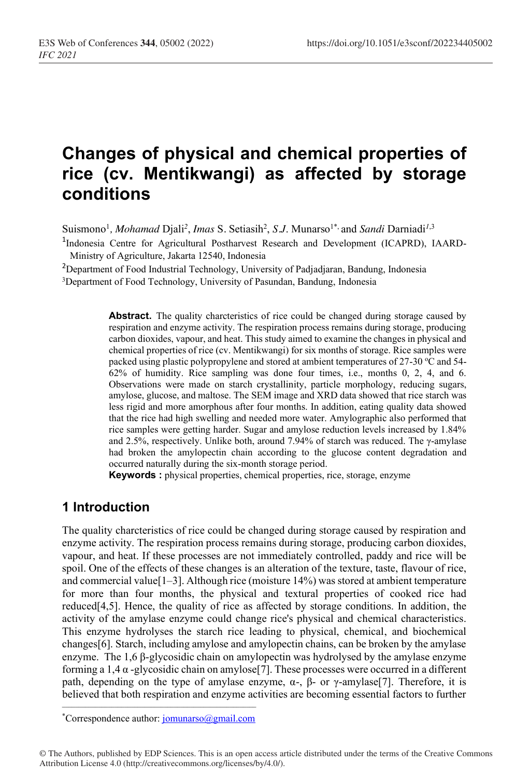# **Changes of physical and chemical properties of rice (cv. Mentikwangi) as affected by storage conditions**

Suismono<sup>1</sup>, *Mohamad* Djali<sup>2</sup>, *Imas* S. Setiasih<sup>2</sup>, S.J. Munarso<sup>1\*,</sup> and *Sandi* Darniadi<sup>1,3</sup>

<sup>1</sup>Indonesia Centre for Agricultural Postharvest Research and Development (ICAPRD), IAARD-Ministry of Agriculture, Jakarta 12540, Indonesia

<sup>2</sup>Department of Food Industrial Technology, University of Padjadjaran, Bandung, Indonesia

3Department of Food Technology, University of Pasundan, Bandung, Indonesia

**Abstract.** The quality charcteristics of rice could be changed during storage caused by respiration and enzyme activity. The respiration process remains during storage, producing carbon dioxides, vapour, and heat. This study aimed to examine the changes in physical and chemical properties of rice (cv. Mentikwangi) for six months of storage. Rice samples were packed using plastic polypropylene and stored at ambient temperatures of 27-30  $\mathrm{^{\circ}C}$  and 54-62% of humidity. Rice sampling was done four times, i.e., months 0, 2, 4, and 6. Observations were made on starch crystallinity, particle morphology, reducing sugars, amylose, glucose, and maltose. The SEM image and XRD data showed that rice starch was less rigid and more amorphous after four months. In addition, eating quality data showed that the rice had high swelling and needed more water. Amylographic also performed that rice samples were getting harder. Sugar and amylose reduction levels increased by 1.84% and 2.5%, respectively. Unlike both, around 7.94% of starch was reduced. The γ-amylase had broken the amylopectin chain according to the glucose content degradation and occurred naturally during the six-month storage period.

**Keywords :** physical properties, chemical properties, rice, storage, enzyme

## **1 Introduction**

The quality charcteristics of rice could be changed during storage caused by respiration and enzyme activity. The respiration process remains during storage, producing carbon dioxides, vapour, and heat. If these processes are not immediately controlled, paddy and rice will be spoil. One of the effects of these changes is an alteration of the texture, taste, flavour of rice, and commercial value  $[-3]$ . Although rice (moisture 14%) was stored at ambient temperature for more than four months, the physical and textural properties of cooked rice had reduced $[4,5]$ . Hence, the quality of rice as affected by storage conditions. In addition, the activity of the amylase enzyme could change rice's physical and chemical characteristics. This enzyme hydrolyses the starch rice leading to physical, chemical, and biochemical changes[6]. Starch, including amylose and amylopectin chains, can be broken by the amylase enzyme. The  $1.6 \beta$ -glycosidic chain on amylopectin was hydrolysed by the amylase enzyme forming a 1,4  $\alpha$  -glycosidic chain on amylose<sup>[7]</sup>. These processes were occurred in a different path, depending on the type of amylase enzyme, α-, β- or  $γ$ -amylase[7]. Therefore, it is believed that both respiration and enzyme activities are becoming essential factors to further

\_\_\_\_\_\_\_\_\_\_\_\_\_\_\_\_\_\_\_\_\_\_\_\_\_\_\_\_\_\_\_\_\_\_\_\_\_\_\_\_\_\_\_\_\_\_\_\_\_\_\_\_\_\_\_\_\_\_\_ \*Correspondence author: jomunarso@gmail.com

<sup>©</sup> The Authors, published by EDP Sciences. This is an open access article distributed under the terms of the Creative Commons Attribution License 4.0 (http://creativecommons.org/licenses/by/4.0/).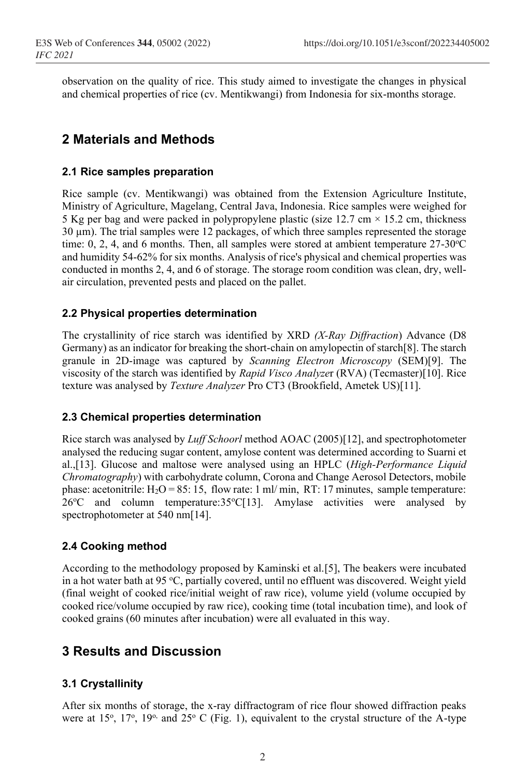observation on the quality of rice. This study aimed to investigate the changes in physical and chemical properties of rice (cv. Mentikwangi) from Indonesia for six-months storage.

# **2 Materials and Methods**

## **2.1 Rice samples preparation**

Rice sample (cv. Mentikwangi) was obtained from the Extension Agriculture Institute, Ministry of Agriculture, Magelang, Central Java, Indonesia. Rice samples were weighed for 5 Kg per bag and were packed in polypropylene plastic (size  $12.7 \text{ cm} \times 15.2 \text{ cm}$ , thickness  $30 \mu m$ ). The trial samples were 12 packages, of which three samples represented the storage time:  $0, 2, 4$ , and 6 months. Then, all samples were stored at ambient temperature  $27-30$  °C and humidity 54-62% for six months. Analysis of rice's physical and chemical properties was conducted in months 2, 4, and 6 of storage. The storage room condition was clean, dry, wellair circulation, prevented pests and placed on the pallet.

## **2.2 Physical properties determination**

The crystallinity of rice starch was identified by XRD *(X-Ray Diffraction*) Advance (D8 Germany) as an indicator for breaking the short-chain on amylopectin of starch[8]. The starch granule in 2D-image was captured by *Scanning Electron Microscopy* (SEM)[9]. The viscosity of the starch was identified by *Rapid Visco Analyze*r (RVA) (Tecmaster)[10]. Rice texture was analysed by *Texture Analyzer* Pro CT3 (Brookfield, Ametek US)[11].

### **2.3 Chemical properties determination**

Rice starch was analysed by *Luff Schoorl* method AOAC (2005)[12], and spectrophotometer analysed the reducing sugar content, amylose content was determined according to Suarni et al.,[13]. Glucose and maltose were analysed using an HPLC (*High-Performance Liquid Chromatography*) with carbohydrate column, Corona and Change Aerosol Detectors, mobile phase: acetonitrile:  $H_2O = 85: 15$ , flow rate: 1 ml/ min, RT: 17 minutes, sample temperature: 26°C and column temperature:35°C[13]. Amylase activities were analysed by spectrophotometer at 540 nm[14].

### **2.4 Cooking method**

According to the methodology proposed by Kaminski et al.[5], The beakers were incubated in a hot water bath at 95 °C, partially covered, until no effluent was discovered. Weight yield (final weight of cooked rice/initial weight of raw rice), volume yield (volume occupied by cooked rice/volume occupied by raw rice), cooking time (total incubation time), and look of cooked grains (60 minutes after incubation) were all evaluated in this way.

# **3 Results and Discussion**

## **3.1 Crystallinity**

After six months of storage, the x-ray diffractogram of rice flour showed diffraction peaks were at 15°, 17°, 19° and 25° C (Fig. 1), equivalent to the crystal structure of the A-type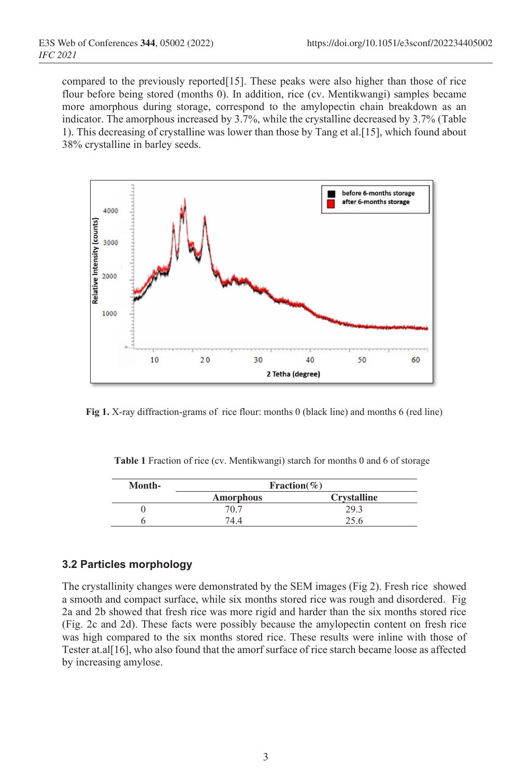compared to the previously reported[15]. These peaks were also higher than those of rice flour before being stored (months 0). In addition, rice (cv. Mentikwangi) samples became more amorphous during storage, correspond to the amylopectin chain breakdown as an indicator. The amorphous increased by 3.7%, while the crystalline decreased by 3.7% (Table 1). This decreasing of crystalline was lower than those by Tang et al.[15], which found about 38% crystalline in barley seeds.



**Fig 1.** X-ray diffraction-grams of rice flour: months 0 (black line) and months 6 (red line)

| Table 1 Fraction of rice (cv. Mentikwangi) starch for months 0 and 6 of storage |  |
|---------------------------------------------------------------------------------|--|
|---------------------------------------------------------------------------------|--|

| Month- | Fraction $(\% )$ |                    |  |  |
|--------|------------------|--------------------|--|--|
|        | Amorphous        | <b>Crystalline</b> |  |  |
|        | 70.7             | 29.3               |  |  |
|        |                  | $\cap$ $\in$       |  |  |

#### **3.2 Particles morphology**

The crystallinity changes were demonstrated by the SEM images (Fig 2). Fresh rice showed a smooth and compact surface, while six months stored rice was rough and disordered. Fig 2a and 2b showed that fresh rice was more rigid and harder than the six months stored rice (Fig. 2c and 2d). These facts were possibly because the amylopectin content on fresh rice was high compared to the six months stored rice. These results were inline with those of Tester at.al[16], who also found that the amorf surface of rice starch became loose as affected by increasing amylose.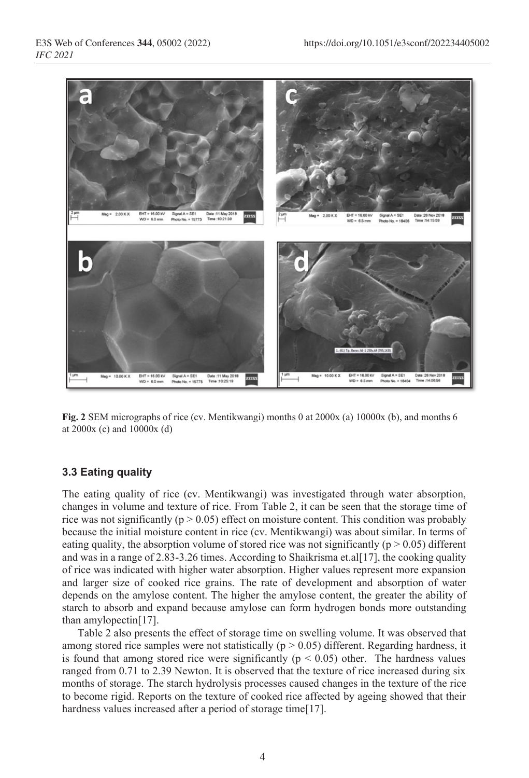

**Fig. 2** SEM micrographs of rice (cv. Mentikwangi) months 0 at 2000x (a) 10000x (b), and months 6 at 2000x (c) and 10000x (d)

#### **3.3 Eating quality**

The eating quality of rice (cv. Mentikwangi) was investigated through water absorption, changes in volume and texture of rice. From Table 2, it can be seen that the storage time of rice was not significantly ( $p > 0.05$ ) effect on moisture content. This condition was probably because the initial moisture content in rice (cv. Mentikwangi) was about similar. In terms of eating quality, the absorption volume of stored rice was not significantly ( $p > 0.05$ ) different and was in a range of 2.83-3.26 times. According to Shaikrisma et.al[17], the cooking quality of rice was indicated with higher water absorption. Higher values represent more expansion and larger size of cooked rice grains. The rate of development and absorption of water depends on the amylose content. The higher the amylose content, the greater the ability of starch to absorb and expand because amylose can form hydrogen bonds more outstanding than amylopectin[17].

Table 2 also presents the effect of storage time on swelling volume. It was observed that among stored rice samples were not statistically ( $p > 0.05$ ) different. Regarding hardness, it is found that among stored rice were significantly ( $p < 0.05$ ) other. The hardness values ranged from 0.71 to 2.39 Newton. It is observed that the texture of rice increased during six months of storage. The starch hydrolysis processes caused changes in the texture of the rice to become rigid. Reports on the texture of cooked rice affected by ageing showed that their hardness values increased after a period of storage time[17].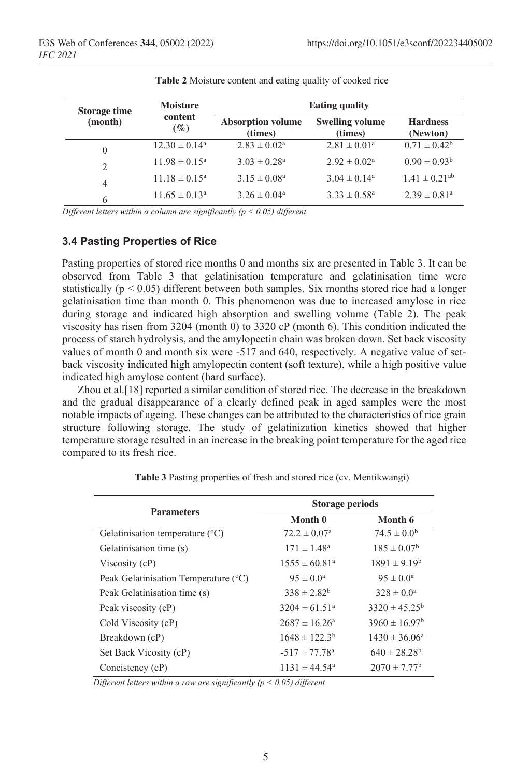| <b>Storage time</b> | <b>Moisture</b>          | <b>Eating quality</b>               |                                   |                               |
|---------------------|--------------------------|-------------------------------------|-----------------------------------|-------------------------------|
| (month)             | content<br>$(\%)$        | <b>Absorption volume</b><br>(times) | <b>Swelling volume</b><br>(times) | <b>Hardness</b><br>(Newton)   |
| $\theta$            | $12.30 \pm 0.14^{\circ}$ | $2.83 \pm 0.02^a$                   | $2.81 \pm 0.01^a$                 | $0.71 \pm 0.42^b$             |
| $\overline{2}$      | $11.98 \pm 0.15^{\circ}$ | $3.03 \pm 0.28^a$                   | $2.92 \pm 0.02^a$                 | $0.90 \pm 0.93^{\rm b}$       |
| $\overline{4}$      | $11.18 \pm 0.15^a$       | $3.15 \pm 0.08^a$                   | $3.04 \pm 0.14^a$                 | $1.41 \pm 0.21$ <sup>ab</sup> |
| 6                   | $11.65 \pm 0.13^a$       | $3.26 \pm 0.04^a$                   | $3.33 \pm 0.58^{\circ}$           | $2.39 \pm 0.81$ <sup>a</sup>  |

**Table 2** Moisture content and eating quality of cooked rice

*Different letters within a column are significantly (p < 0.05) different*

### **3.4 Pasting Properties of Rice**

Pasting properties of stored rice months 0 and months six are presented in Table 3. It can be observed from Table 3 that gelatinisation temperature and gelatinisation time were statistically ( $p < 0.05$ ) different between both samples. Six months stored rice had a longer gelatinisation time than month 0. This phenomenon was due to increased amylose in rice during storage and indicated high absorption and swelling volume (Table 2). The peak viscosity has risen from 3204 (month 0) to 3320 cP (month 6). This condition indicated the process of starch hydrolysis, and the amylopectin chain was broken down. Set back viscosity values of month 0 and month six were  $-517$  and 640, respectively. A negative value of setback viscosity indicated high amylopectin content (soft texture), while a high positive value indicated high amylose content (hard surface).

Zhou et al.[18] reported a similar condition of stored rice. The decrease in the breakdown and the gradual disappearance of a clearly defined peak in aged samples were the most notable impacts of ageing. These changes can be attributed to the characteristics of rice grain structure following storage. The study of gelatinization kinetics showed that higher temperature storage resulted in an increase in the breaking point temperature for the aged rice compared to its fresh rice.

|                                            | <b>Storage periods</b>        |                              |  |
|--------------------------------------------|-------------------------------|------------------------------|--|
| <b>Parameters</b>                          | Month 0                       | Month 6                      |  |
| Gelatinisation temperature $({}^{\circ}C)$ | $72.2 \pm 0.07^{\circ}$       | $74.5 \pm 0.0^{\rm b}$       |  |
| Gelatinisation time (s)                    | $171 \pm 1.48^a$              | $185 \pm 0.07^{\rm b}$       |  |
| Viscosity $(cP)$                           | $1555 \pm 60.81^a$            | $1891 \pm 9.19^b$            |  |
| Peak Gelatinisation Temperature (°C)       | $95 \pm 0.0^{\circ}$          | $95 \pm 0.0^{\circ}$         |  |
| Peak Gelatinisation time (s)               | $338 \pm 2.82^b$              | $328 \pm 0.0^{\circ}$        |  |
| Peak viscosity (cP)                        | $3204 \pm 61.51^{\circ}$      | $3320 \pm 45.25^{\circ}$     |  |
| Cold Viscosity (cP)                        | $2687 \pm 16.26^{\circ}$      | $3960 \pm 16.97^b$           |  |
| Breakdown (cP)                             | $1648 \pm 122.3^{\rm b}$      | $1430 \pm 36.06^{\circ}$     |  |
| Set Back Vicosity (cP)                     | $-517 \pm 77.78$ <sup>a</sup> | $640 \pm 28.28^b$            |  |
| Concistency (cP)                           | $1131 \pm 44.54^{\circ}$      | $2070 \pm 7.77$ <sup>b</sup> |  |

**Table 3** Pasting properties of fresh and stored rice (cv. Mentikwangi)

*Different letters within a row are significantly (p < 0.05) different*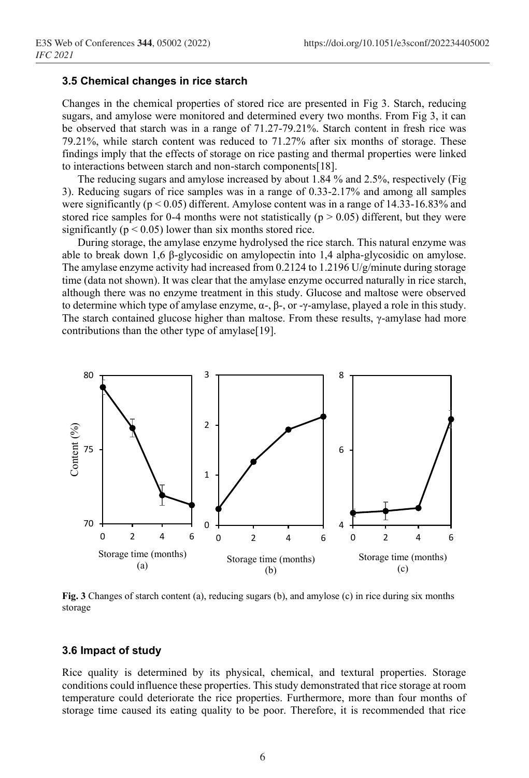#### **3.5 Chemical changes in rice starch**

Changes in the chemical properties of stored rice are presented in Fig 3. Starch, reducing sugars, and amylose were monitored and determined every two months. From Fig 3, it can be observed that starch was in a range of 71.27-79.21%. Starch content in fresh rice was 79.21%, while starch content was reduced to 71.27% after six months of storage. These findings imply that the effects of storage on rice pasting and thermal properties were linked to interactions between starch and non-starch components[18].

The reducing sugars and amylose increased by about 1.84 % and 2.5%, respectively (Fig 3). Reducing sugars of rice samples was in a range of 0.33-2.17% and among all samples were significantly ( $p < 0.05$ ) different. Amylose content was in a range of 14.33-16.83% and stored rice samples for 0-4 months were not statistically ( $p > 0.05$ ) different, but they were significantly ( $p < 0.05$ ) lower than six months stored rice.

During storage, the amylase enzyme hydrolysed the rice starch. This natural enzyme was able to break down 1,6 β-glycosidic on amylopectin into 1,4 alpha-glycosidic on amylose. The amylase enzyme activity had increased from 0.2124 to 1.2196 U/g/minute during storage time (data not shown). It was clear that the amylase enzyme occurred naturally in rice starch, although there was no enzyme treatment in this study. Glucose and maltose were observed to determine which type of amylase enzyme, α-, β-, or -γ-amylase, played a role in this study. The starch contained glucose higher than maltose. From these results,  $\gamma$ -amylase had more contributions than the other type of amylase[19].



**Fig. 3** Changes of starch content (a), reducing sugars (b), and amylose (c) in rice during six months storage

#### **3.6 Impact of study**

Rice quality is determined by its physical, chemical, and textural properties. Storage conditions could influence these properties. This study demonstrated that rice storage at room temperature could deteriorate the rice properties. Furthermore, more than four months of storage time caused its eating quality to be poor. Therefore, it is recommended that rice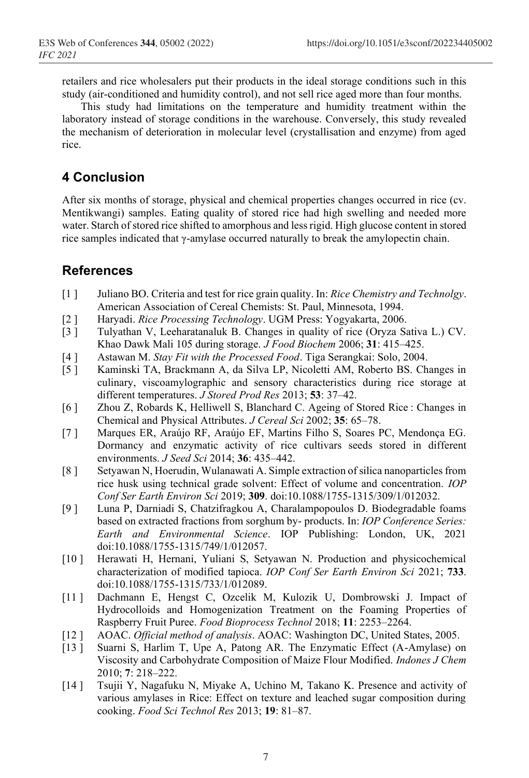retailers and rice wholesalers put their products in the ideal storage conditions such in this study (air-conditioned and humidity control), and not sell rice aged more than four months.

This study had limitations on the temperature and humidity treatment within the laboratory instead of storage conditions in the warehouse. Conversely, this study revealed the mechanism of deterioration in molecular level (crystallisation and enzyme) from aged rice.

# **4 Conclusion**

After six months of storage, physical and chemical properties changes occurred in rice (cv. Mentikwangi) samples. Eating quality of stored rice had high swelling and needed more water. Starch of stored rice shifted to amorphous and less rigid. High glucose content in stored rice samples indicated that γ-amylase occurred naturally to break the amylopectin chain.

# **References**

- [1 ] Juliano BO. Criteria and test for rice grain quality. In: *Rice Chemistry and Technolgy*. American Association of Cereal Chemists: St. Paul, Minnesota, 1994.
- [2 ] Haryadi. *Rice Processing Technology*. UGM Press: Yogyakarta, 2006.
- Tulyathan V, Leeharatanaluk B. Changes in quality of rice (Oryza Sativa L.) CV. Khao Dawk Mali 105 during storage. *J Food Biochem* 2006; **31**: 415–425.
- [4 ] Astawan M. *Stay Fit with the Processed Food*. Tiga Serangkai: Solo, 2004.
- [5 ] Kaminski TA, Brackmann A, da Silva LP, Nicoletti AM, Roberto BS. Changes in culinary, viscoamylographic and sensory characteristics during rice storage at different temperatures. *J Stored Prod Res* 2013; **53**: 37–42.
- [6 ] Zhou Z, Robards K, Helliwell S, Blanchard C. Ageing of Stored Rice : Changes in Chemical and Physical Attributes. *J Cereal Sci* 2002; **35**: 65–78.
- [7 ] Marques ER, Araújo RF, Araújo EF, Martins Filho S, Soares PC, Mendonça EG. Dormancy and enzymatic activity of rice cultivars seeds stored in different environments. *J Seed Sci* 2014; **36**: 435–442.
- [8 ] Setyawan N, Hoerudin, Wulanawati A. Simple extraction of silica nanoparticles from rice husk using technical grade solvent: Effect of volume and concentration. *IOP Conf Ser Earth Environ Sci* 2019; **309**. doi:10.1088/1755-1315/309/1/012032.
- [9 ] Luna P, Darniadi S, Chatzifragkou A, Charalampopoulos D. Biodegradable foams based on extracted fractions from sorghum by- products. In: *IOP Conference Series: Earth and Environmental Science*. IOP Publishing: London, UK, 2021 doi:10.1088/1755-1315/749/1/012057.
- [10 ] Herawati H, Hernani, Yuliani S, Setyawan N. Production and physicochemical characterization of modified tapioca. *IOP Conf Ser Earth Environ Sci* 2021; **733**. doi:10.1088/1755-1315/733/1/012089.
- [11 ] Dachmann E, Hengst C, Ozcelik M, Kulozik U, Dombrowski J. Impact of Hydrocolloids and Homogenization Treatment on the Foaming Properties of Raspberry Fruit Puree. *Food Bioprocess Technol* 2018; **11**: 2253–2264.
- [12 ] AOAC. *Official method of analysis*. AOAC: Washington DC, United States, 2005.
- [13] Suarni S, Harlim T, Upe A, Patong AR. The Enzymatic Effect (A-Amylase) on Viscosity and Carbohydrate Composition of Maize Flour Modified. *Indones J Chem* 2010; **7**: 218–222.
- [14 ] Tsujii Y, Nagafuku N, Miyake A, Uchino M, Takano K. Presence and activity of various amylases in Rice: Effect on texture and leached sugar composition during cooking. *Food Sci Technol Res* 2013; **19**: 81–87.